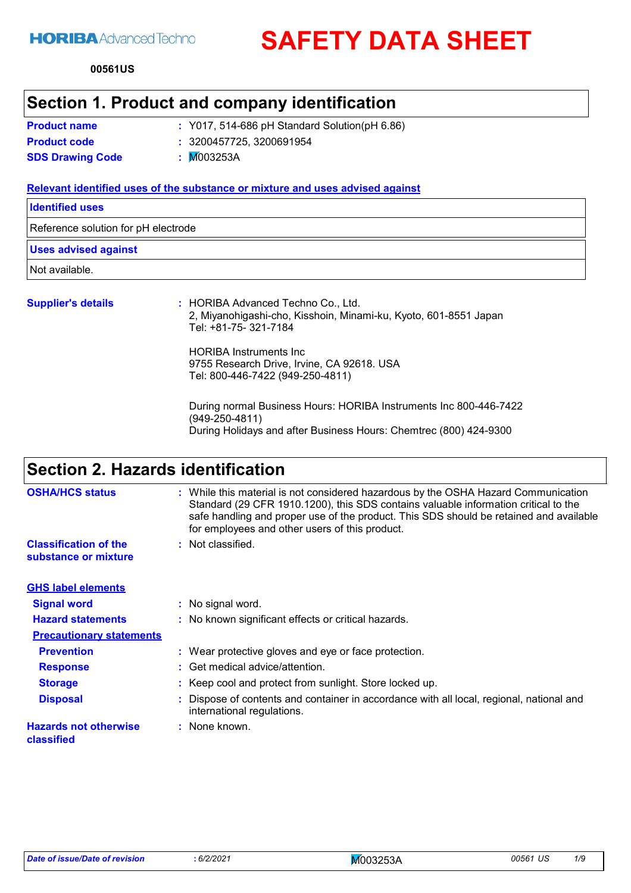**SAFETY DATA SHEET**

**00561 US**

### **Section 1. Product and company identification**

**Product name**

Y017, 514-686 pH Standard Solution(pH 6.86) **:**

**Product code :** 3200457725, 3200691954

**SDS Drawing Code :** M003253A

#### **Relevant identified uses of the substance or mixture and uses advised against**

**Identified uses**

Reference solution for pH electrode

#### **Uses advised against**

Not available.

#### **Supplier's details :**

: HORIBA Advanced Techno Co., Ltd. 2, Miyanohigashi-cho, Kisshoin, Minami-ku, Kyoto, 601-8551 Japan Tel: +81-75- 321-7184

HORIBA Instruments Inc 9755 Research Drive, Irvine, CA 92618. USA Tel: 800-446-7422 (949-250-4811)

During normal Business Hours: HORIBA Instruments Inc 800-446-7422 (949-250-4811) During Holidays and after Business Hours: Chemtrec (800) 424-9300

### **Section 2. Hazards identification**

| <b>OSHA/HCS status</b>                               | : While this material is not considered hazardous by the OSHA Hazard Communication<br>Standard (29 CFR 1910.1200), this SDS contains valuable information critical to the<br>safe handling and proper use of the product. This SDS should be retained and available<br>for employees and other users of this product. |  |
|------------------------------------------------------|-----------------------------------------------------------------------------------------------------------------------------------------------------------------------------------------------------------------------------------------------------------------------------------------------------------------------|--|
| <b>Classification of the</b><br>substance or mixture | : Not classified.                                                                                                                                                                                                                                                                                                     |  |
| <b>GHS label elements</b>                            |                                                                                                                                                                                                                                                                                                                       |  |
| <b>Signal word</b>                                   | : No signal word.                                                                                                                                                                                                                                                                                                     |  |
| <b>Hazard statements</b>                             | : No known significant effects or critical hazards.                                                                                                                                                                                                                                                                   |  |
| <b>Precautionary statements</b>                      |                                                                                                                                                                                                                                                                                                                       |  |
| <b>Prevention</b>                                    | : Wear protective gloves and eye or face protection.                                                                                                                                                                                                                                                                  |  |
| <b>Response</b>                                      | : Get medical advice/attention.                                                                                                                                                                                                                                                                                       |  |
| <b>Storage</b>                                       | : Keep cool and protect from sunlight. Store locked up.                                                                                                                                                                                                                                                               |  |
| <b>Disposal</b>                                      | Dispose of contents and container in accordance with all local, regional, national and<br>international regulations.                                                                                                                                                                                                  |  |
| <b>Hazards not otherwise</b><br>classified           | : None known.                                                                                                                                                                                                                                                                                                         |  |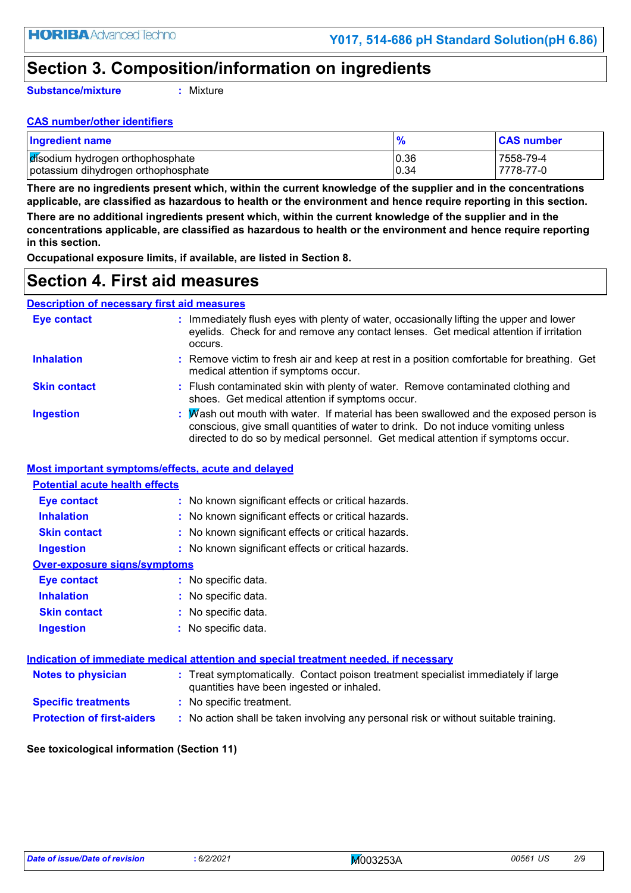## **Section 3. Composition/information on ingredients**

**Substance/mixture**

**:** Mixture

#### **CAS number/other identifiers**

| <b>Ingredient name</b>              |       | <b>CAS number</b> |
|-------------------------------------|-------|-------------------|
| disodium hydrogen orthophosphate    | 10.36 | 7558-79-4         |
| potassium dihydrogen orthophosphate | 0.34  | 7778-77-0         |

**There are no ingredients present which, within the current knowledge of the supplier and in the concentrations applicable, are classified as hazardous to health or the environment and hence require reporting in this section.**

**There are no additional ingredients present which, within the current knowledge of the supplier and in the concentrations applicable, are classified as hazardous to health or the environment and hence require reporting in this section.**

**Occupational exposure limits, if available, are listed in Section 8.**

### **Section 4. First aid measures**

#### **Description of necessary first aid measures**

| Eye contact         | : Immediately flush eyes with plenty of water, occasionally lifting the upper and lower<br>eyelids. Check for and remove any contact lenses. Get medical attention if irritation<br>occurs.                                                                    |
|---------------------|----------------------------------------------------------------------------------------------------------------------------------------------------------------------------------------------------------------------------------------------------------------|
| <b>Inhalation</b>   | : Remove victim to fresh air and keep at rest in a position comfortable for breathing. Get<br>medical attention if symptoms occur.                                                                                                                             |
| <b>Skin contact</b> | : Flush contaminated skin with plenty of water. Remove contaminated clothing and<br>shoes. Get medical attention if symptoms occur.                                                                                                                            |
| <b>Ingestion</b>    | : Mash out mouth with water. If material has been swallowed and the exposed person is<br>conscious, give small quantities of water to drink. Do not induce vomiting unless<br>directed to do so by medical personnel. Get medical attention if symptoms occur. |

#### **Most important symptoms/effects, acute and delayed**

| <b>Potential acute health effects</b> |                                                     |
|---------------------------------------|-----------------------------------------------------|
| Eye contact                           | : No known significant effects or critical hazards. |
| <b>Inhalation</b>                     | : No known significant effects or critical hazards. |
| <b>Skin contact</b>                   | : No known significant effects or critical hazards. |
| <b>Ingestion</b>                      | : No known significant effects or critical hazards. |
| Over-exposure signs/symptoms          |                                                     |
| <b>Eye contact</b>                    | : No specific data.                                 |
| <b>Inhalation</b>                     | : No specific data.                                 |
| <b>Skin contact</b>                   | : No specific data.                                 |
| <b>Ingestion</b>                      | : No specific data.                                 |

| <u>Indication of immediate medical attention and special treatment needed, if necessary</u> |                                                                                                                                |  |  |  |
|---------------------------------------------------------------------------------------------|--------------------------------------------------------------------------------------------------------------------------------|--|--|--|
| <b>Notes to physician</b>                                                                   | : Treat symptomatically. Contact poison treatment specialist immediately if large<br>quantities have been ingested or inhaled. |  |  |  |
| <b>Specific treatments</b>                                                                  | : No specific treatment.                                                                                                       |  |  |  |
| <b>Protection of first-aiders</b>                                                           | : No action shall be taken involving any personal risk or without suitable training.                                           |  |  |  |

#### **See toxicological information (Section 11)**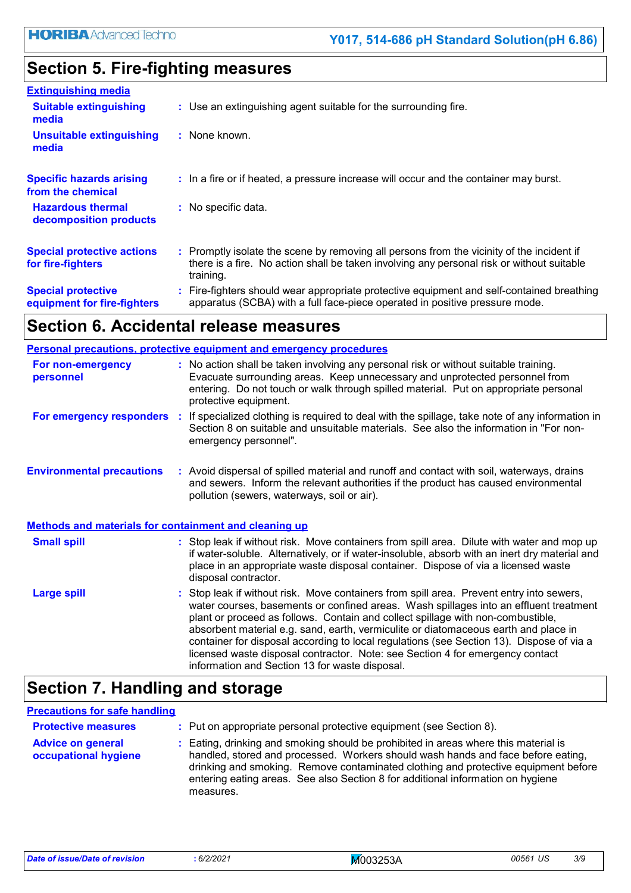## **Section 5. Fire-fighting measures**

| <b>Extinguishing media</b>                               |                                                                                                                                                                                                     |
|----------------------------------------------------------|-----------------------------------------------------------------------------------------------------------------------------------------------------------------------------------------------------|
| <b>Suitable extinguishing</b><br>media                   | : Use an extinguishing agent suitable for the surrounding fire.                                                                                                                                     |
| <b>Unsuitable extinguishing</b><br>media                 | : None known.                                                                                                                                                                                       |
| <b>Specific hazards arising</b><br>from the chemical     | : In a fire or if heated, a pressure increase will occur and the container may burst.                                                                                                               |
| <b>Hazardous thermal</b><br>decomposition products       | : No specific data.                                                                                                                                                                                 |
| <b>Special protective actions</b><br>for fire-fighters   | : Promptly isolate the scene by removing all persons from the vicinity of the incident if<br>there is a fire. No action shall be taken involving any personal risk or without suitable<br>training. |
| <b>Special protective</b><br>equipment for fire-fighters | : Fire-fighters should wear appropriate protective equipment and self-contained breathing<br>apparatus (SCBA) with a full face-piece operated in positive pressure mode.                            |

## **Section 6. Accidental release measures**

|                                                                                                                                                                                                                                                                                                                        | <b>Personal precautions, protective equipment and emergency procedures</b>                                                                                                                                                                                                                                                                                                                                                                                                                                                                                                                 |  |
|------------------------------------------------------------------------------------------------------------------------------------------------------------------------------------------------------------------------------------------------------------------------------------------------------------------------|--------------------------------------------------------------------------------------------------------------------------------------------------------------------------------------------------------------------------------------------------------------------------------------------------------------------------------------------------------------------------------------------------------------------------------------------------------------------------------------------------------------------------------------------------------------------------------------------|--|
| : No action shall be taken involving any personal risk or without suitable training.<br>For non-emergency<br>Evacuate surrounding areas. Keep unnecessary and unprotected personnel from<br>personnel<br>entering. Do not touch or walk through spilled material. Put on appropriate personal<br>protective equipment. |                                                                                                                                                                                                                                                                                                                                                                                                                                                                                                                                                                                            |  |
| For emergency responders                                                                                                                                                                                                                                                                                               | : If specialized clothing is required to deal with the spillage, take note of any information in<br>Section 8 on suitable and unsuitable materials. See also the information in "For non-<br>emergency personnel".                                                                                                                                                                                                                                                                                                                                                                         |  |
| <b>Environmental precautions</b>                                                                                                                                                                                                                                                                                       | : Avoid dispersal of spilled material and runoff and contact with soil, waterways, drains<br>and sewers. Inform the relevant authorities if the product has caused environmental<br>pollution (sewers, waterways, soil or air).                                                                                                                                                                                                                                                                                                                                                            |  |
| <b>Methods and materials for containment and cleaning up</b>                                                                                                                                                                                                                                                           |                                                                                                                                                                                                                                                                                                                                                                                                                                                                                                                                                                                            |  |
| <b>Small spill</b>                                                                                                                                                                                                                                                                                                     | : Stop leak if without risk. Move containers from spill area. Dilute with water and mop up<br>if water-soluble. Alternatively, or if water-insoluble, absorb with an inert dry material and<br>place in an appropriate waste disposal container. Dispose of via a licensed waste<br>disposal contractor.                                                                                                                                                                                                                                                                                   |  |
| <b>Large spill</b>                                                                                                                                                                                                                                                                                                     | : Stop leak if without risk. Move containers from spill area. Prevent entry into sewers,<br>water courses, basements or confined areas. Wash spillages into an effluent treatment<br>plant or proceed as follows. Contain and collect spillage with non-combustible,<br>absorbent material e.g. sand, earth, vermiculite or diatomaceous earth and place in<br>container for disposal according to local regulations (see Section 13). Dispose of via a<br>licensed waste disposal contractor. Note: see Section 4 for emergency contact<br>information and Section 13 for waste disposal. |  |

## **Section 7. Handling and storage**

#### **Precautions for safe handling**

| <b>Protective measures</b>                       | : Put on appropriate personal protective equipment (see Section 8).                                                                                                                                                                                                                                                                                           |
|--------------------------------------------------|---------------------------------------------------------------------------------------------------------------------------------------------------------------------------------------------------------------------------------------------------------------------------------------------------------------------------------------------------------------|
| <b>Advice on general</b><br>occupational hygiene | : Eating, drinking and smoking should be prohibited in areas where this material is<br>handled, stored and processed. Workers should wash hands and face before eating,<br>drinking and smoking. Remove contaminated clothing and protective equipment before<br>entering eating areas. See also Section 8 for additional information on hygiene<br>measures. |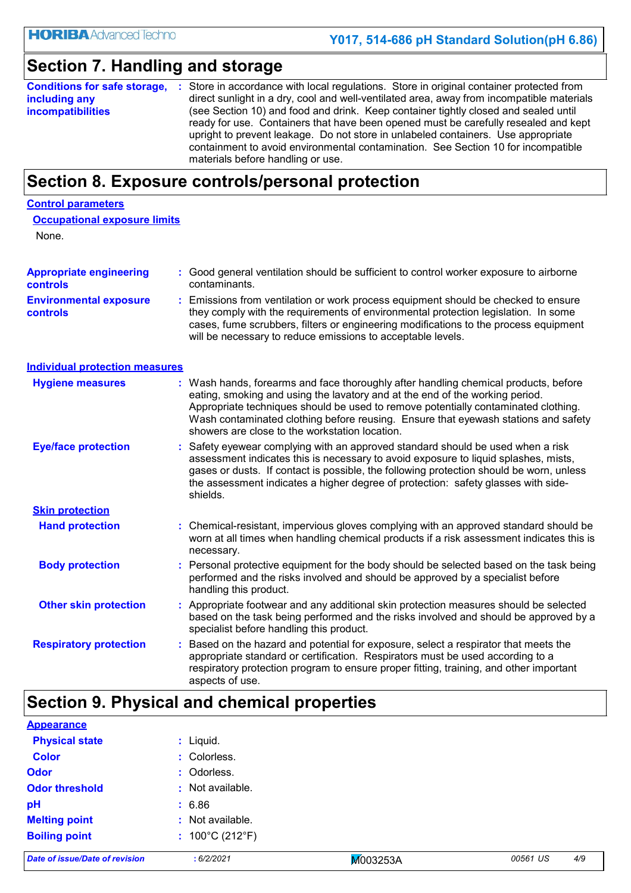## **Section 7. Handling and storage**

| Conditions for safe storage, : | Store in accordance with local regulations. Store in original container protected from                                                                                                                                                                                                                                                                                                    |
|--------------------------------|-------------------------------------------------------------------------------------------------------------------------------------------------------------------------------------------------------------------------------------------------------------------------------------------------------------------------------------------------------------------------------------------|
| including any                  | direct sunlight in a dry, cool and well-ventilated area, away from incompatible materials                                                                                                                                                                                                                                                                                                 |
| <b>incompatibilities</b>       | (see Section 10) and food and drink. Keep container tightly closed and sealed until<br>ready for use. Containers that have been opened must be carefully resealed and kept<br>upright to prevent leakage. Do not store in unlabeled containers. Use appropriate<br>containment to avoid environmental contamination. See Section 10 for incompatible<br>materials before handling or use. |

### **Section 8. Exposure controls/personal protection**

### **Control parameters**

| <b>Occupational exposure limits</b> |  |
|-------------------------------------|--|
| None.                               |  |

| <b>Appropriate engineering</b><br>controls                                                                                                                |  | : Good general ventilation should be sufficient to control worker exposure to airborne<br>contaminants.                                                                                                                                                                                                                                                            |  |  |  |
|-----------------------------------------------------------------------------------------------------------------------------------------------------------|--|--------------------------------------------------------------------------------------------------------------------------------------------------------------------------------------------------------------------------------------------------------------------------------------------------------------------------------------------------------------------|--|--|--|
| <b>Environmental exposure</b><br><b>controls</b>                                                                                                          |  | Emissions from ventilation or work process equipment should be checked to ensure<br>they comply with the requirements of environmental protection legislation. In some<br>cases, fume scrubbers, filters or engineering modifications to the process equipment<br>will be necessary to reduce emissions to acceptable levels.                                      |  |  |  |
| <b>Individual protection measures</b>                                                                                                                     |  |                                                                                                                                                                                                                                                                                                                                                                    |  |  |  |
| <b>Hygiene measures</b><br>eating, smoking and using the lavatory and at the end of the working period.<br>showers are close to the workstation location. |  | : Wash hands, forearms and face thoroughly after handling chemical products, before<br>Appropriate techniques should be used to remove potentially contaminated clothing.<br>Wash contaminated clothing before reusing. Ensure that eyewash stations and safety                                                                                                    |  |  |  |
| <b>Eye/face protection</b>                                                                                                                                |  | : Safety eyewear complying with an approved standard should be used when a risk<br>assessment indicates this is necessary to avoid exposure to liquid splashes, mists,<br>gases or dusts. If contact is possible, the following protection should be worn, unless<br>the assessment indicates a higher degree of protection: safety glasses with side-<br>shields. |  |  |  |
| <b>Skin protection</b>                                                                                                                                    |  |                                                                                                                                                                                                                                                                                                                                                                    |  |  |  |
| <b>Hand protection</b>                                                                                                                                    |  | : Chemical-resistant, impervious gloves complying with an approved standard should be<br>worn at all times when handling chemical products if a risk assessment indicates this is<br>necessary.                                                                                                                                                                    |  |  |  |
| <b>Body protection</b>                                                                                                                                    |  | Personal protective equipment for the body should be selected based on the task being<br>performed and the risks involved and should be approved by a specialist before<br>handling this product.                                                                                                                                                                  |  |  |  |
| <b>Other skin protection</b>                                                                                                                              |  | Appropriate footwear and any additional skin protection measures should be selected<br>based on the task being performed and the risks involved and should be approved by a<br>specialist before handling this product.                                                                                                                                            |  |  |  |
| <b>Respiratory protection</b><br>aspects of use.                                                                                                          |  | Based on the hazard and potential for exposure, select a respirator that meets the<br>appropriate standard or certification. Respirators must be used according to a<br>respiratory protection program to ensure proper fitting, training, and other important                                                                                                     |  |  |  |

## **Section 9. Physical and chemical properties**

| <b>Appearance</b>              |                                      |          |                 |
|--------------------------------|--------------------------------------|----------|-----------------|
| <b>Physical state</b>          | : Liquid.                            |          |                 |
| <b>Color</b>                   | : Colorless.                         |          |                 |
| <b>Odor</b>                    | : Odorless.                          |          |                 |
| <b>Odor threshold</b>          | : Not available.                     |          |                 |
| pH                             | : 6.86                               |          |                 |
| <b>Melting point</b>           | : Not available.                     |          |                 |
| <b>Boiling point</b>           | : $100^{\circ}$ C (212 $^{\circ}$ F) |          |                 |
| Date of issue/Date of revision | :6/2/2021                            | M003253A | 4/9<br>00561 US |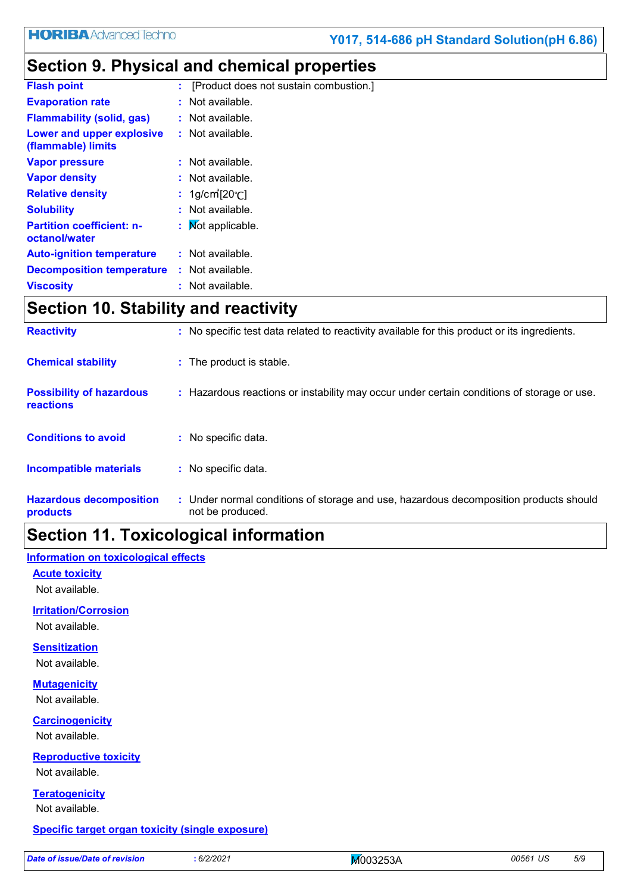# **Section 9. Physical and chemical properties**

| <b>Flash point</b>                                |    | [Product does not sustain combustion.] |
|---------------------------------------------------|----|----------------------------------------|
| <b>Evaporation rate</b>                           |    | : Not available.                       |
| <b>Flammability (solid, gas)</b>                  |    | : Not available.                       |
| Lower and upper explosive<br>(flammable) limits   |    | $:$ Not available.                     |
| <b>Vapor pressure</b>                             |    | : Not available.                       |
| <b>Vapor density</b>                              |    | $:$ Not available.                     |
| <b>Relative density</b>                           |    | : $1g/cm$ [ $20°C$ ]                   |
| <b>Solubility</b>                                 |    | : Not available.                       |
| <b>Partition coefficient: n-</b><br>octanol/water | t. | <b>Not applicable.</b>                 |
| <b>Auto-ignition temperature</b>                  |    | : Not available.                       |
| <b>Decomposition temperature</b>                  |    | : Not available.                       |
| <b>Viscosity</b>                                  |    | : Not available.                       |
|                                                   |    |                                        |

### **Section 10. Stability and reactivity**

| <b>Reactivity</b>                                   | : No specific test data related to reactivity available for this product or its ingredients.              |
|-----------------------------------------------------|-----------------------------------------------------------------------------------------------------------|
| <b>Chemical stability</b>                           | : The product is stable.                                                                                  |
| <b>Possibility of hazardous</b><br><b>reactions</b> | : Hazardous reactions or instability may occur under certain conditions of storage or use.                |
| <b>Conditions to avoid</b>                          | : No specific data.                                                                                       |
| Incompatible materials                              | : No specific data.                                                                                       |
| <b>Hazardous decomposition</b><br>products          | : Under normal conditions of storage and use, hazardous decomposition products should<br>not be produced. |

## **Section 11. Toxicological information**

#### **Information on toxicological effects**

**Acute toxicity**

Not available.

#### **Irritation/Corrosion**

Not available.

#### **Sensitization**

Not available.

#### **Mutagenicity**

Not available.

#### **Carcinogenicity**

Not available.

#### **Reproductive toxicity**

Not available.

**Teratogenicity** Not available.

#### **Specific target organ toxicity (single exposure)**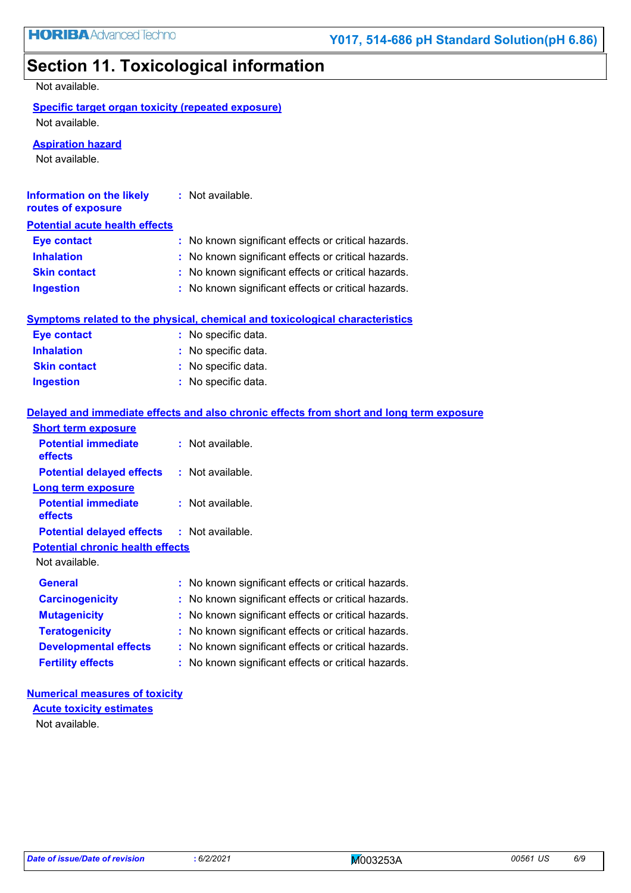## **Section 11. Toxicological information**

Not available.

|  |  | Specific target organ toxicity (repeated exposure) |  |  |
|--|--|----------------------------------------------------|--|--|
|  |  |                                                    |  |  |

Not available.

**Aspiration hazard**

Not available.

| Information on the likely<br>routes of exposure | : Not available.                                                                         |
|-------------------------------------------------|------------------------------------------------------------------------------------------|
| <b>Potential acute health effects</b>           |                                                                                          |
| <b>Eye contact</b>                              | : No known significant effects or critical hazards.                                      |
| <b>Inhalation</b>                               | : No known significant effects or critical hazards.                                      |
| <b>Skin contact</b>                             | : No known significant effects or critical hazards.                                      |
| <b>Ingestion</b>                                | : No known significant effects or critical hazards.                                      |
|                                                 | <b>Symptoms related to the physical, chemical and toxicological characteristics</b>      |
| <b>Eye contact</b>                              | : No specific data.                                                                      |
| <b>Inhalation</b>                               | : No specific data.                                                                      |
| <b>Skin contact</b>                             | : No specific data.                                                                      |
| <b>Ingestion</b>                                | : No specific data.                                                                      |
|                                                 |                                                                                          |
|                                                 | Balanced and boundaries official and also about a official form about and cost laws from |

|                                                   | Delayed and immediate effects and also chronic effects from short and long term exposure |
|---------------------------------------------------|------------------------------------------------------------------------------------------|
| <b>Short term exposure</b>                        |                                                                                          |
| <b>Potential immediate</b><br><b>effects</b>      | : Not available.                                                                         |
| <b>Potential delayed effects : Not available.</b> |                                                                                          |
| Long term exposure                                |                                                                                          |
| <b>Potential immediate</b><br><b>effects</b>      | : Not available.                                                                         |
| <b>Potential delayed effects : Not available.</b> |                                                                                          |
| <b>Potential chronic health effects</b>           |                                                                                          |
| Not available.                                    |                                                                                          |
| <b>General</b>                                    | : No known significant effects or critical hazards.                                      |
| <b>Carcinogenicity</b>                            | : No known significant effects or critical hazards.                                      |
| <b>Mutagenicity</b>                               | : No known significant effects or critical hazards.                                      |
| <b>Teratogenicity</b>                             | : No known significant effects or critical hazards.                                      |
| <b>Developmental effects</b>                      | : No known significant effects or critical hazards.                                      |
| <b>Fertility effects</b>                          | : No known significant effects or critical hazards.                                      |

#### **Numerical measures of toxicity**

Not available. **Acute toxicity estimates**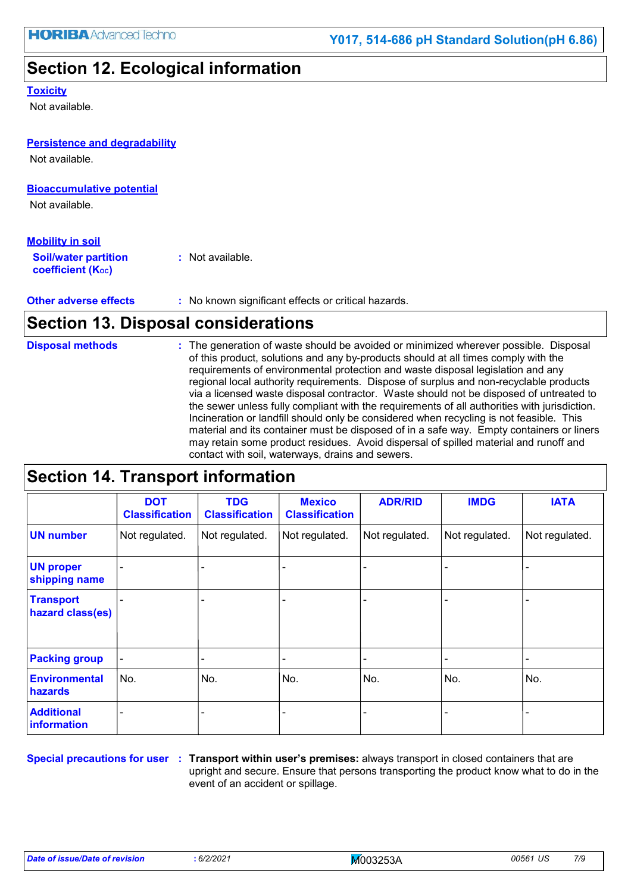### **Section 12. Ecological information**

#### **Toxicity**

Not available.

#### **Persistence and degradability**

Not available.

#### **Bioaccumulative potential**

Not available.

| <u>Mobility in soil</u>                                 |                  |
|---------------------------------------------------------|------------------|
| <b>Soil/water partition</b><br><b>coefficient (Koc)</b> | : Not available. |

**Other adverse effects** : No known significant effects or critical hazards.

### **Section 13. Disposal considerations**

The generation of waste should be avoided or minimized wherever possible. Disposal of this product, solutions and any by-products should at all times comply with the requirements of environmental protection and waste disposal legislation and any regional local authority requirements. Dispose of surplus and non-recyclable products via a licensed waste disposal contractor. Waste should not be disposed of untreated to the sewer unless fully compliant with the requirements of all authorities with jurisdiction. Incineration or landfill should only be considered when recycling is not feasible. This material and its container must be disposed of in a safe way. Empty containers or liners may retain some product residues. Avoid dispersal of spilled material and runoff and contact with soil, waterways, drains and sewers. **Disposal methods :**

### **Section 14. Transport information**

|                                      | <b>DOT</b><br><b>Classification</b> | <b>TDG</b><br><b>Classification</b> | <b>Mexico</b><br><b>Classification</b> | <b>ADR/RID</b> | <b>IMDG</b>    | <b>IATA</b>    |
|--------------------------------------|-------------------------------------|-------------------------------------|----------------------------------------|----------------|----------------|----------------|
| <b>UN number</b>                     | Not regulated.                      | Not regulated.                      | Not regulated.                         | Not regulated. | Not regulated. | Not regulated. |
| <b>UN proper</b><br>shipping name    |                                     |                                     |                                        |                |                |                |
| <b>Transport</b><br>hazard class(es) |                                     |                                     |                                        |                |                |                |
| <b>Packing group</b>                 |                                     |                                     |                                        |                |                |                |
| Environmental<br>hazards             | No.                                 | No.                                 | No.                                    | No.            | No.            | No.            |
| <b>Additional</b><br>information     |                                     |                                     |                                        |                |                |                |

**Special precautions for user Transport within user's premises:** always transport in closed containers that are **:** upright and secure. Ensure that persons transporting the product know what to do in the event of an accident or spillage.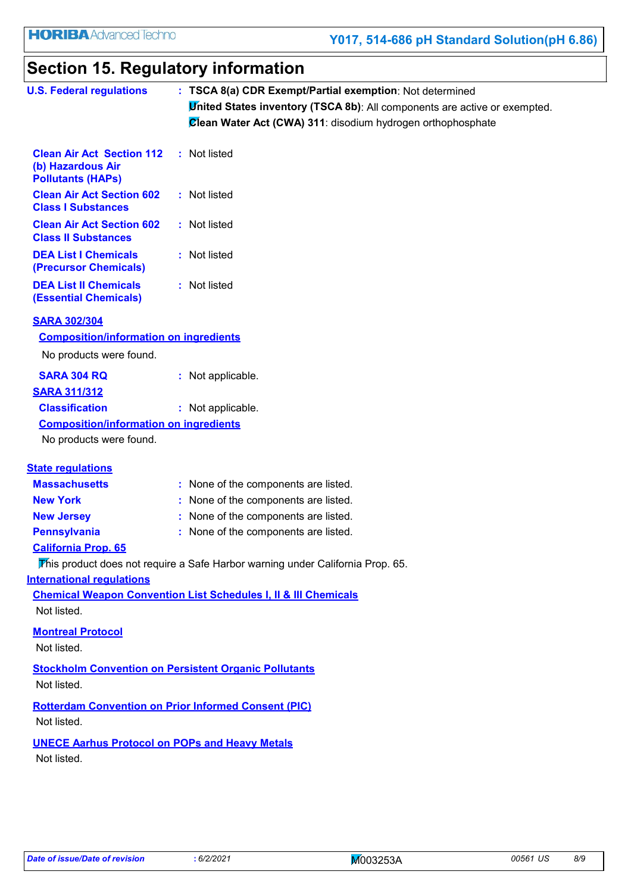# **Section 15. Regulatory information**

| <b>U.S. Federal regulations</b>                                                   |  | : TSCA 8(a) CDR Exempt/Partial exemption: Not determined                                                                                         |
|-----------------------------------------------------------------------------------|--|--------------------------------------------------------------------------------------------------------------------------------------------------|
|                                                                                   |  | <b>United States inventory (TSCA 8b)</b> : All components are active or exempted.<br>Clean Water Act (CWA) 311: disodium hydrogen orthophosphate |
| <b>Clean Air Act Section 112</b><br>(b) Hazardous Air<br><b>Pollutants (HAPs)</b> |  | : Not listed                                                                                                                                     |
| <b>Clean Air Act Section 602</b><br><b>Class I Substances</b>                     |  | : Not listed                                                                                                                                     |
| <b>Clean Air Act Section 602</b><br><b>Class II Substances</b>                    |  | : Not listed                                                                                                                                     |
| <b>DEA List I Chemicals</b><br>(Precursor Chemicals)                              |  | : Not listed                                                                                                                                     |
| <b>DEA List II Chemicals</b><br><b>(Essential Chemicals)</b>                      |  | : Not listed                                                                                                                                     |
| <b>SARA 302/304</b><br><b>Composition/information on ingredients</b>              |  |                                                                                                                                                  |
| No products were found.                                                           |  |                                                                                                                                                  |
| <b>SARA 304 RQ</b>                                                                |  | : Not applicable.                                                                                                                                |
| <b>SARA 311/312</b>                                                               |  |                                                                                                                                                  |
| <b>Classification</b>                                                             |  | : Not applicable.                                                                                                                                |
| <b>Composition/information on ingredients</b>                                     |  |                                                                                                                                                  |
| No products were found.                                                           |  |                                                                                                                                                  |
| <b>State regulations</b>                                                          |  |                                                                                                                                                  |
| <b>Massachusetts</b>                                                              |  | : None of the components are listed.                                                                                                             |
| <b>New York</b>                                                                   |  | : None of the components are listed.                                                                                                             |
| <b>New Jersey</b>                                                                 |  | : None of the components are listed.                                                                                                             |
| <b>Pennsylvania</b>                                                               |  | : None of the components are listed.                                                                                                             |
| <b>California Prop. 65</b>                                                        |  |                                                                                                                                                  |
|                                                                                   |  | This product does not require a Safe Harbor warning under California Prop. 65.                                                                   |
| <b>International regulations</b>                                                  |  |                                                                                                                                                  |
|                                                                                   |  | <b>Chemical Weapon Convention List Schedules I, II &amp; III Chemicals</b>                                                                       |
| Not listed.                                                                       |  |                                                                                                                                                  |
| <b>Montreal Protocol</b>                                                          |  |                                                                                                                                                  |
| Not listed.                                                                       |  |                                                                                                                                                  |
| <b>Stockholm Convention on Persistent Organic Pollutants</b><br>Not listed.       |  |                                                                                                                                                  |
|                                                                                   |  |                                                                                                                                                  |
| <b>Rotterdam Convention on Prior Informed Consent (PIC)</b><br>Not listed.        |  |                                                                                                                                                  |
| <b>UNECE Aarhus Protocol on POPs and Heavy Metals</b><br>Not listed.              |  |                                                                                                                                                  |
|                                                                                   |  |                                                                                                                                                  |